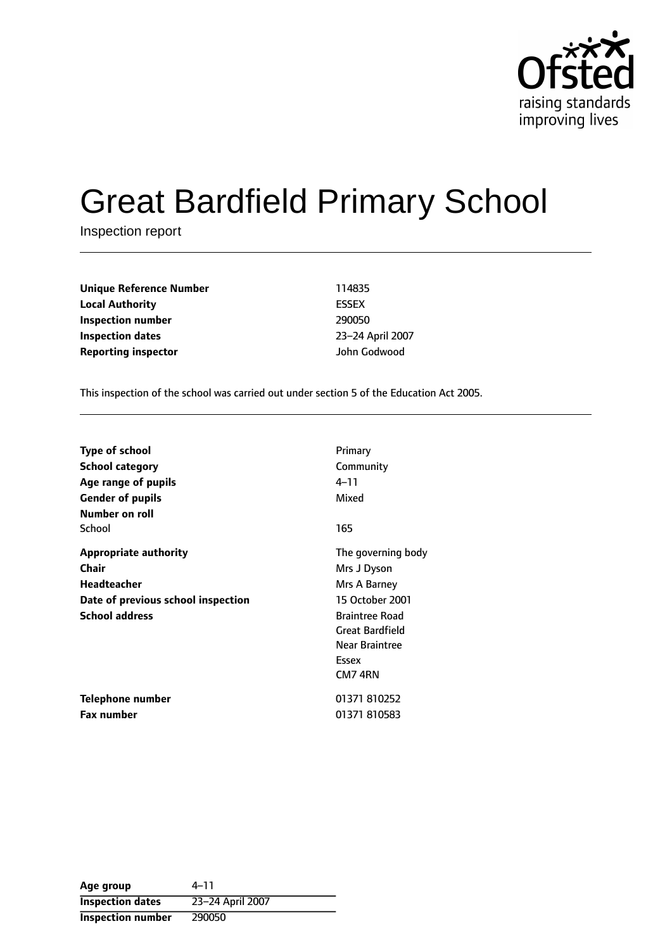

# Great Bardfield Primary School

Inspection report

**Unique Reference Number** 114835 **Local Authority** ESSEX **Inspection number** 290050 **Inspection dates** 23-24 April 2007 **Reporting inspector** John Godwood

This inspection of the school was carried out under section 5 of the Education Act 2005.

| <b>Type of school</b>              | Primary                |
|------------------------------------|------------------------|
| <b>School category</b>             | Community              |
| Age range of pupils                | 4–11                   |
| <b>Gender of pupils</b>            | Mixed                  |
| Number on roll                     |                        |
| School                             | 165                    |
| <b>Appropriate authority</b>       | The governing body     |
| <b>Chair</b>                       | Mrs J Dyson            |
| <b>Headteacher</b>                 | Mrs A Barney           |
| Date of previous school inspection | 15 October 2001        |
| <b>School address</b>              | <b>Braintree Road</b>  |
|                                    | <b>Great Bardfield</b> |
|                                    | Near Braintree         |
|                                    | Essex                  |
|                                    | CM7 4RN                |
| Telephone number                   | 01371 810252           |
| <b>Fax number</b>                  | 01371 810583           |

**Age** group  $4-11$ **Inspection dates** 23-24 April 2007 **Inspection number** 290050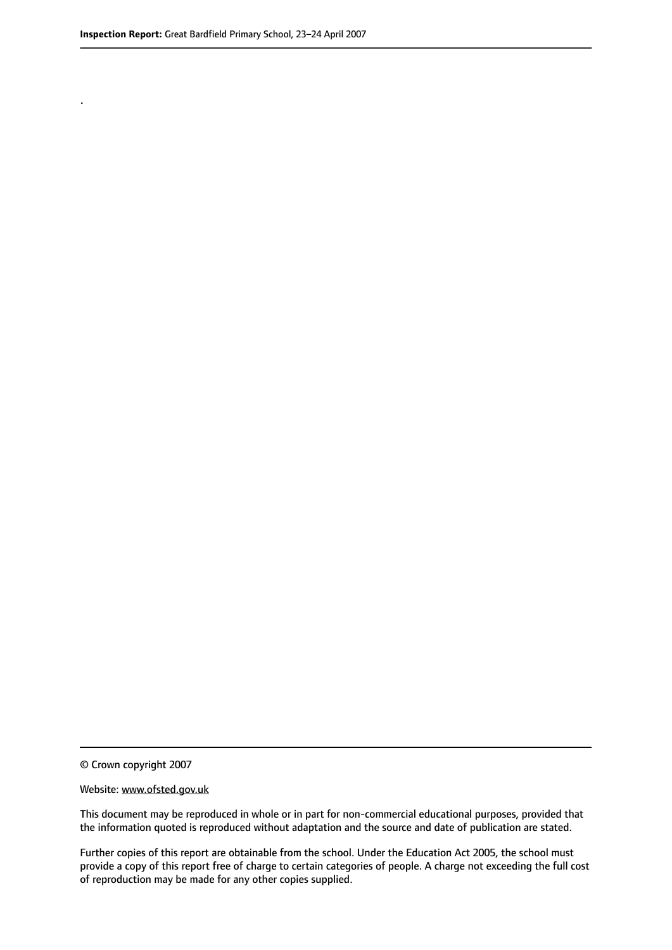.

© Crown copyright 2007

#### Website: www.ofsted.gov.uk

This document may be reproduced in whole or in part for non-commercial educational purposes, provided that the information quoted is reproduced without adaptation and the source and date of publication are stated.

Further copies of this report are obtainable from the school. Under the Education Act 2005, the school must provide a copy of this report free of charge to certain categories of people. A charge not exceeding the full cost of reproduction may be made for any other copies supplied.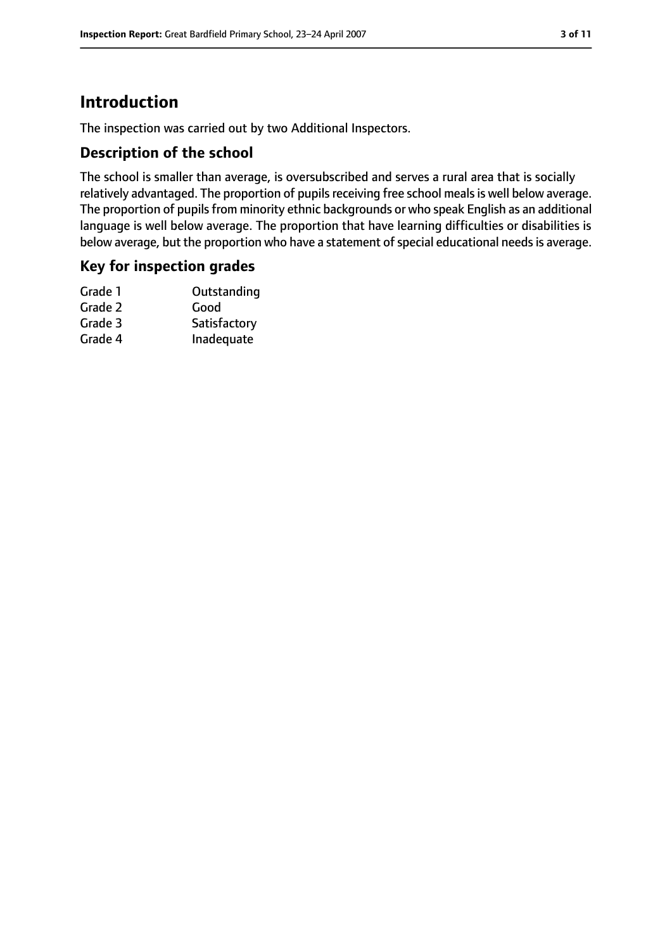## **Introduction**

The inspection was carried out by two Additional Inspectors.

#### **Description of the school**

The school is smaller than average, is oversubscribed and serves a rural area that is socially relatively advantaged. The proportion of pupils receiving free school meals is well below average. The proportion of pupils from minority ethnic backgrounds or who speak English as an additional language is well below average. The proportion that have learning difficulties or disabilities is below average, but the proportion who have a statement of special educational needs is average.

#### **Key for inspection grades**

| Grade 1 | Outstanding  |
|---------|--------------|
| Grade 2 | Good         |
| Grade 3 | Satisfactory |
| Grade 4 | Inadequate   |
|         |              |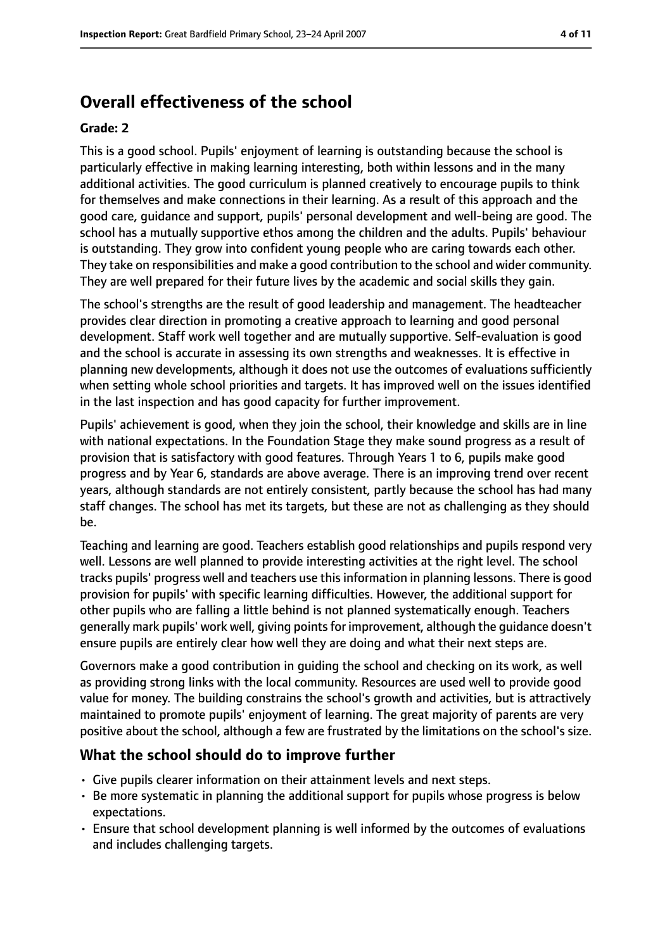# **Overall effectiveness of the school**

#### **Grade: 2**

This is a good school. Pupils' enjoyment of learning is outstanding because the school is particularly effective in making learning interesting, both within lessons and in the many additional activities. The good curriculum is planned creatively to encourage pupils to think for themselves and make connections in their learning. As a result of this approach and the good care, guidance and support, pupils' personal development and well-being are good. The school has a mutually supportive ethos among the children and the adults. Pupils' behaviour is outstanding. They grow into confident young people who are caring towards each other. They take on responsibilities and make a good contribution to the school and wider community. They are well prepared for their future lives by the academic and social skills they gain.

The school's strengths are the result of good leadership and management. The headteacher provides clear direction in promoting a creative approach to learning and good personal development. Staff work well together and are mutually supportive. Self-evaluation is good and the school is accurate in assessing its own strengths and weaknesses. It is effective in planning new developments, although it does not use the outcomes of evaluations sufficiently when setting whole school priorities and targets. It has improved well on the issues identified in the last inspection and has good capacity for further improvement.

Pupils' achievement is good, when they join the school, their knowledge and skills are in line with national expectations. In the Foundation Stage they make sound progress as a result of provision that is satisfactory with good features. Through Years 1 to 6, pupils make good progress and by Year 6, standards are above average. There is an improving trend over recent years, although standards are not entirely consistent, partly because the school has had many staff changes. The school has met its targets, but these are not as challenging as they should be.

Teaching and learning are good. Teachers establish good relationships and pupils respond very well. Lessons are well planned to provide interesting activities at the right level. The school tracks pupils' progress well and teachers use this information in planning lessons. There is good provision for pupils' with specific learning difficulties. However, the additional support for other pupils who are falling a little behind is not planned systematically enough. Teachers generally mark pupils' work well, giving pointsfor improvement, although the guidance doesn't ensure pupils are entirely clear how well they are doing and what their next steps are.

Governors make a good contribution in guiding the school and checking on its work, as well as providing strong links with the local community. Resources are used well to provide good value for money. The building constrains the school's growth and activities, but is attractively maintained to promote pupils' enjoyment of learning. The great majority of parents are very positive about the school, although a few are frustrated by the limitations on the school's size.

## **What the school should do to improve further**

- Give pupils clearer information on their attainment levels and next steps.
- Be more systematic in planning the additional support for pupils whose progress is below expectations.
- Ensure that school development planning is well informed by the outcomes of evaluations and includes challenging targets.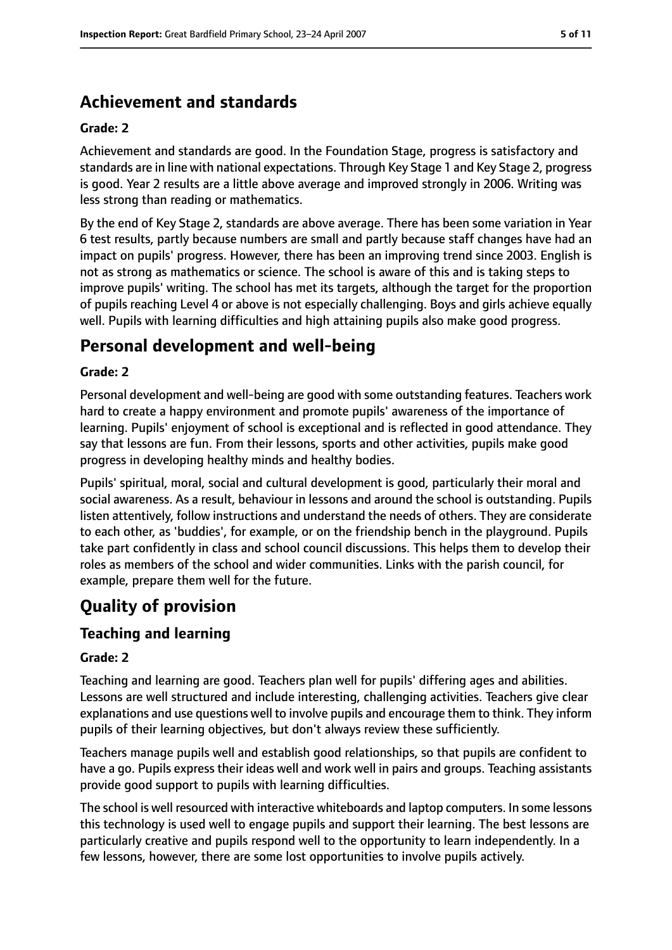# **Achievement and standards**

#### **Grade: 2**

Achievement and standards are good. In the Foundation Stage, progress is satisfactory and standards are in line with national expectations. Through Key Stage 1 and Key Stage 2, progress is good. Year 2 results are a little above average and improved strongly in 2006. Writing was less strong than reading or mathematics.

By the end of Key Stage 2, standards are above average. There has been some variation in Year 6 test results, partly because numbers are small and partly because staff changes have had an impact on pupils' progress. However, there has been an improving trend since 2003. English is not as strong as mathematics or science. The school is aware of this and is taking steps to improve pupils' writing. The school has met its targets, although the target for the proportion of pupils reaching Level 4 or above is not especially challenging. Boys and girls achieve equally well. Pupils with learning difficulties and high attaining pupils also make good progress.

## **Personal development and well-being**

#### **Grade: 2**

Personal development and well-being are good with some outstanding features. Teachers work hard to create a happy environment and promote pupils' awareness of the importance of learning. Pupils' enjoyment of school is exceptional and is reflected in good attendance. They say that lessons are fun. From their lessons, sports and other activities, pupils make good progress in developing healthy minds and healthy bodies.

Pupils' spiritual, moral, social and cultural development is good, particularly their moral and social awareness. As a result, behaviour in lessons and around the school is outstanding. Pupils listen attentively, follow instructions and understand the needs of others. They are considerate to each other, as 'buddies', for example, or on the friendship bench in the playground. Pupils take part confidently in class and school council discussions. This helps them to develop their roles as members of the school and wider communities. Links with the parish council, for example, prepare them well for the future.

# **Quality of provision**

#### **Teaching and learning**

#### **Grade: 2**

Teaching and learning are good. Teachers plan well for pupils' differing ages and abilities. Lessons are well structured and include interesting, challenging activities. Teachers give clear explanations and use questions well to involve pupils and encourage them to think. They inform pupils of their learning objectives, but don't always review these sufficiently.

Teachers manage pupils well and establish good relationships, so that pupils are confident to have a go. Pupils express their ideas well and work well in pairs and groups. Teaching assistants provide good support to pupils with learning difficulties.

The school is well resourced with interactive whiteboards and laptop computers. In some lessons this technology is used well to engage pupils and support their learning. The best lessons are particularly creative and pupils respond well to the opportunity to learn independently. In a few lessons, however, there are some lost opportunities to involve pupils actively.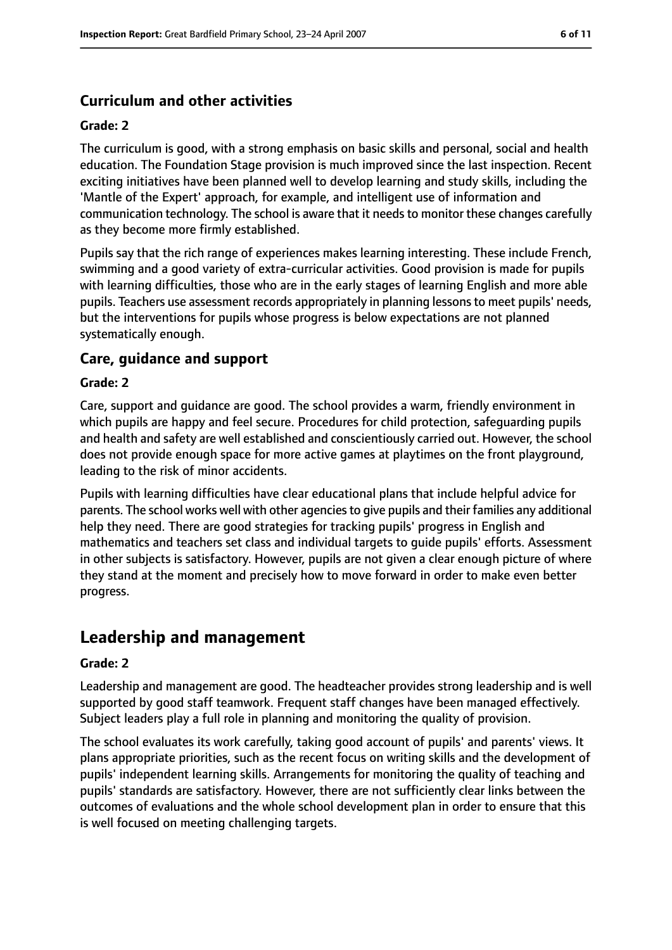## **Curriculum and other activities**

#### **Grade: 2**

The curriculum is good, with a strong emphasis on basic skills and personal, social and health education. The Foundation Stage provision is much improved since the last inspection. Recent exciting initiatives have been planned well to develop learning and study skills, including the 'Mantle of the Expert' approach, for example, and intelligent use of information and communication technology. The school is aware that it needs to monitor these changes carefully as they become more firmly established.

Pupils say that the rich range of experiences makes learning interesting. These include French, swimming and a good variety of extra-curricular activities. Good provision is made for pupils with learning difficulties, those who are in the early stages of learning English and more able pupils. Teachers use assessment records appropriately in planning lessonsto meet pupils' needs, but the interventions for pupils whose progress is below expectations are not planned systematically enough.

#### **Care, guidance and support**

#### **Grade: 2**

Care, support and guidance are good. The school provides a warm, friendly environment in which pupils are happy and feel secure. Procedures for child protection, safeguarding pupils and health and safety are well established and conscientiously carried out. However, the school does not provide enough space for more active games at playtimes on the front playground, leading to the risk of minor accidents.

Pupils with learning difficulties have clear educational plans that include helpful advice for parents. The school works well with other agencies to give pupils and their families any additional help they need. There are good strategies for tracking pupils' progress in English and mathematics and teachers set class and individual targets to guide pupils' efforts. Assessment in other subjects is satisfactory. However, pupils are not given a clear enough picture of where they stand at the moment and precisely how to move forward in order to make even better progress.

## **Leadership and management**

#### **Grade: 2**

Leadership and management are good. The headteacher provides strong leadership and is well supported by good staff teamwork. Frequent staff changes have been managed effectively. Subject leaders play a full role in planning and monitoring the quality of provision.

The school evaluates its work carefully, taking good account of pupils' and parents' views. It plans appropriate priorities, such as the recent focus on writing skills and the development of pupils' independent learning skills. Arrangements for monitoring the quality of teaching and pupils' standards are satisfactory. However, there are not sufficiently clear links between the outcomes of evaluations and the whole school development plan in order to ensure that this is well focused on meeting challenging targets.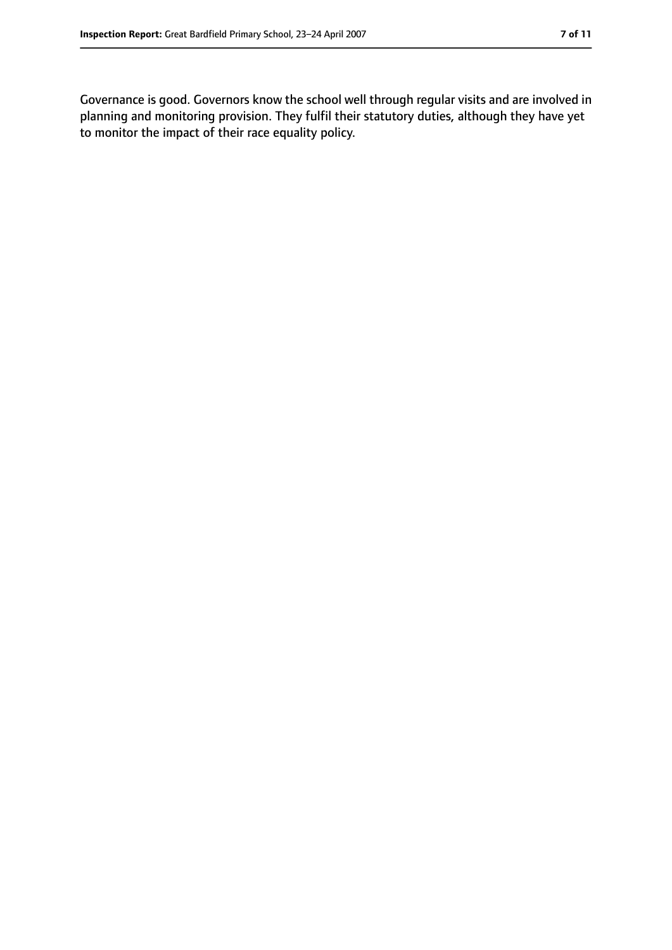Governance is good. Governors know the school well through regular visits and are involved in planning and monitoring provision. They fulfil their statutory duties, although they have yet to monitor the impact of their race equality policy.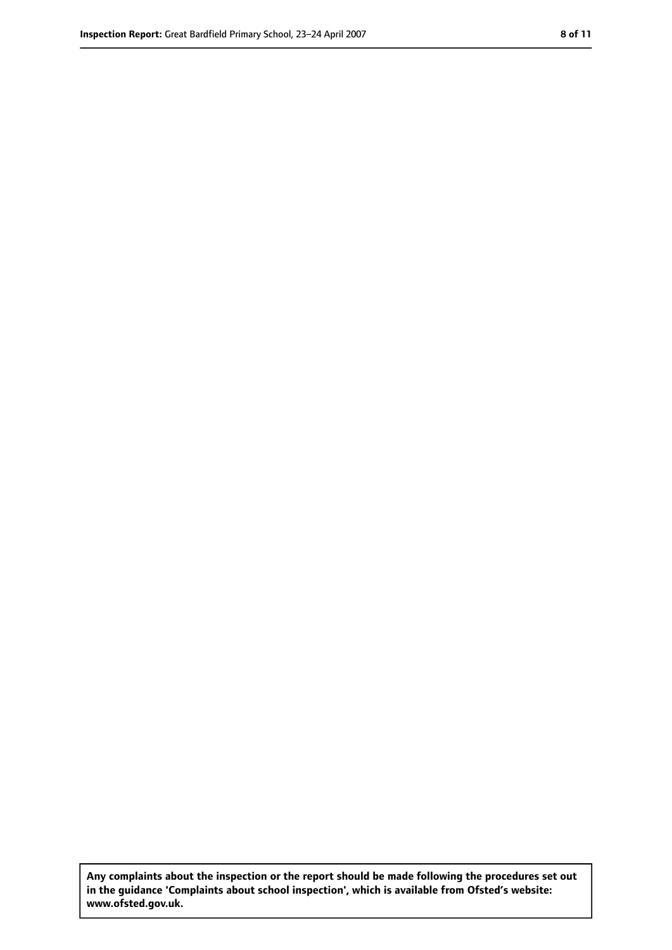**Any complaints about the inspection or the report should be made following the procedures set out in the guidance 'Complaints about school inspection', which is available from Ofsted's website: www.ofsted.gov.uk.**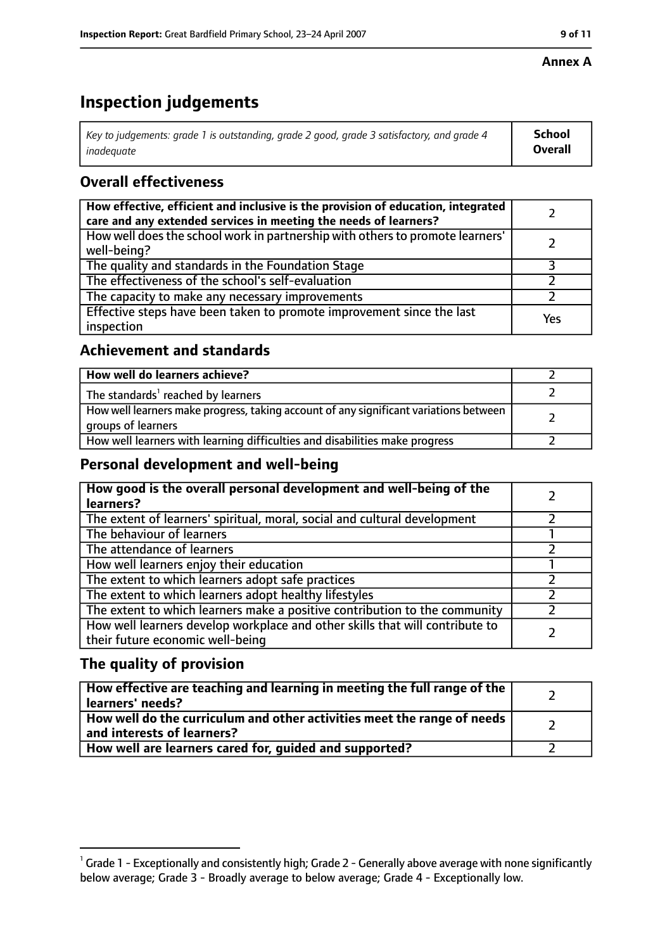#### **Annex A**

# **Inspection judgements**

| Key to judgements: grade 1 is outstanding, grade 2 good, grade 3 satisfactory, and grade 4 | School         |
|--------------------------------------------------------------------------------------------|----------------|
| inadeauate                                                                                 | <b>Overall</b> |

## **Overall effectiveness**

| How effective, efficient and inclusive is the provision of education, integrated<br>care and any extended services in meeting the needs of learners? |     |
|------------------------------------------------------------------------------------------------------------------------------------------------------|-----|
| How well does the school work in partnership with others to promote learners'<br>well-being?                                                         |     |
| The quality and standards in the Foundation Stage                                                                                                    |     |
| The effectiveness of the school's self-evaluation                                                                                                    |     |
| The capacity to make any necessary improvements                                                                                                      |     |
| Effective steps have been taken to promote improvement since the last<br>inspection                                                                  | Yes |

#### **Achievement and standards**

| How well do learners achieve?                                                                               |  |
|-------------------------------------------------------------------------------------------------------------|--|
| The standards <sup>1</sup> reached by learners                                                              |  |
| How well learners make progress, taking account of any significant variations between<br>groups of learners |  |
| How well learners with learning difficulties and disabilities make progress                                 |  |

### **Personal development and well-being**

| How good is the overall personal development and well-being of the<br>learners?                                  |  |
|------------------------------------------------------------------------------------------------------------------|--|
| The extent of learners' spiritual, moral, social and cultural development                                        |  |
| The behaviour of learners                                                                                        |  |
| The attendance of learners                                                                                       |  |
| How well learners enjoy their education                                                                          |  |
| The extent to which learners adopt safe practices                                                                |  |
| The extent to which learners adopt healthy lifestyles                                                            |  |
| The extent to which learners make a positive contribution to the community                                       |  |
| How well learners develop workplace and other skills that will contribute to<br>their future economic well-being |  |

### **The quality of provision**

| How effective are teaching and learning in meeting the full range of the<br>learners' needs?          |  |
|-------------------------------------------------------------------------------------------------------|--|
| How well do the curriculum and other activities meet the range of needs<br>and interests of learners? |  |
| How well are learners cared for, quided and supported?                                                |  |

 $^1$  Grade 1 - Exceptionally and consistently high; Grade 2 - Generally above average with none significantly below average; Grade 3 - Broadly average to below average; Grade 4 - Exceptionally low.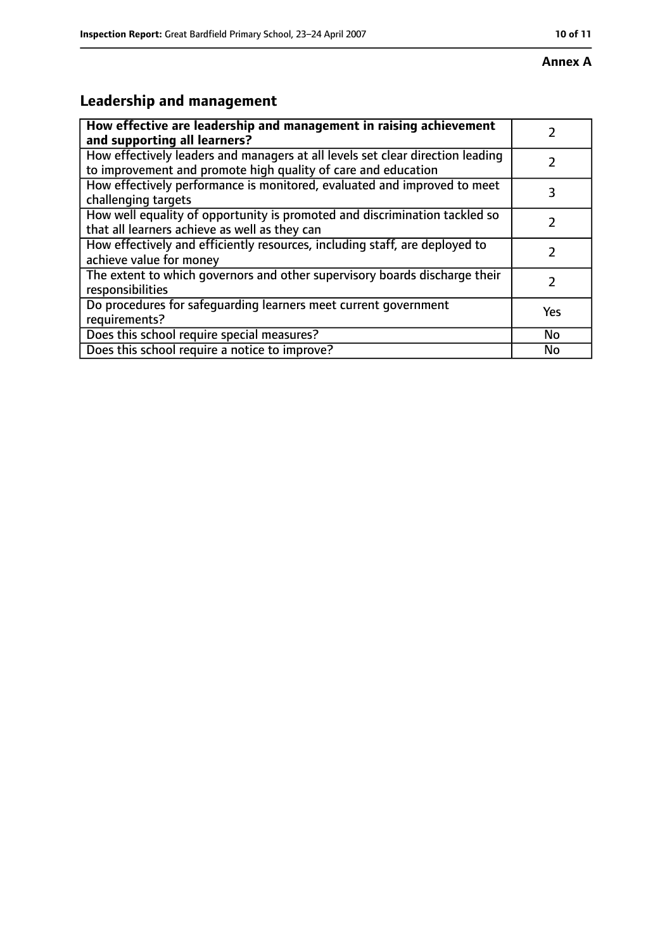#### **Annex A**

# **Leadership and management**

| How effective are leadership and management in raising achievement<br>and supporting all learners?                                              |           |
|-------------------------------------------------------------------------------------------------------------------------------------------------|-----------|
| How effectively leaders and managers at all levels set clear direction leading<br>to improvement and promote high quality of care and education |           |
| How effectively performance is monitored, evaluated and improved to meet<br>challenging targets                                                 | 3         |
| How well equality of opportunity is promoted and discrimination tackled so<br>that all learners achieve as well as they can                     |           |
| How effectively and efficiently resources, including staff, are deployed to<br>achieve value for money                                          |           |
| The extent to which governors and other supervisory boards discharge their<br>responsibilities                                                  |           |
| Do procedures for safequarding learners meet current government<br>requirements?                                                                | Yes       |
| Does this school require special measures?                                                                                                      | <b>No</b> |
| Does this school require a notice to improve?                                                                                                   | No        |